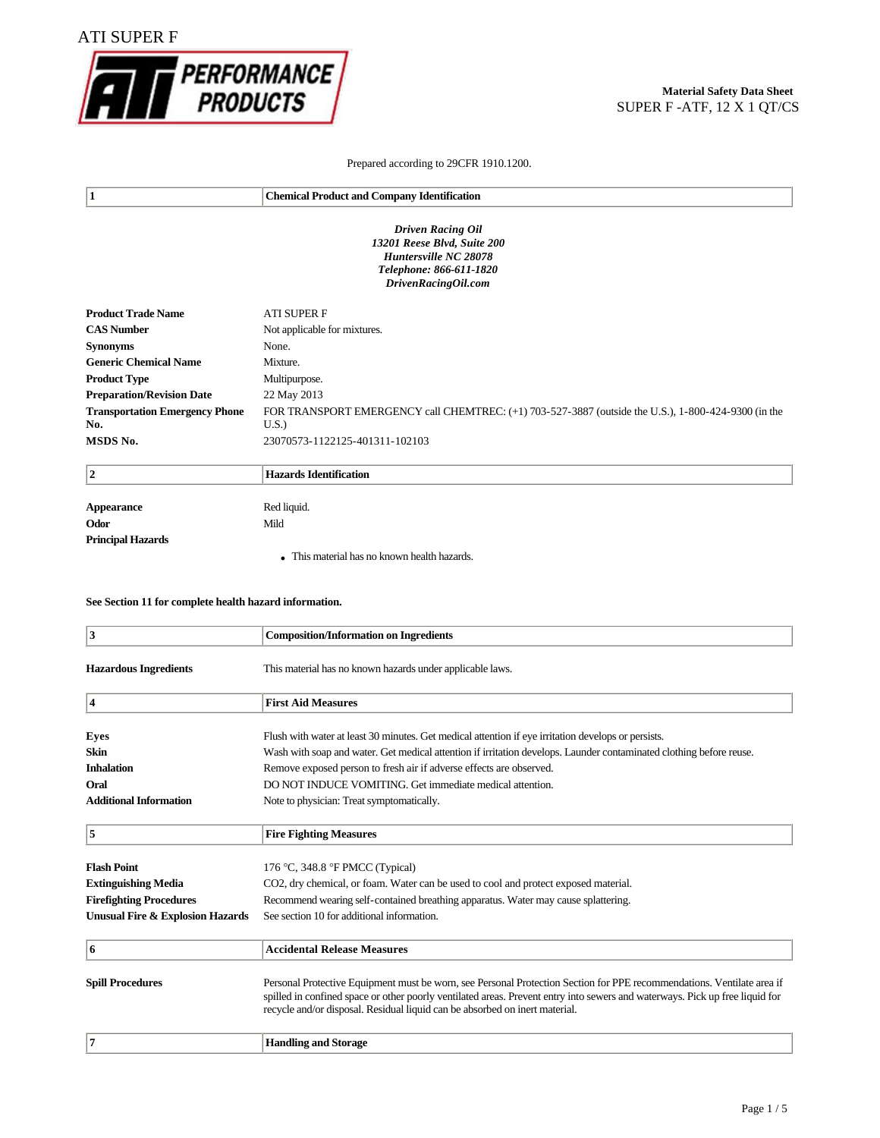

## **Material Safety Data Sheet** SUPER F -ATF, 12 X 1 QT/CS

### Prepared according to 29CFR 1910.1200.

| 1                                                                                                                                  | <b>Chemical Product and Company Identification</b>                                                    |  |
|------------------------------------------------------------------------------------------------------------------------------------|-------------------------------------------------------------------------------------------------------|--|
| <b>Driven Racing Oil</b><br>13201 Reese Blvd, Suite 200<br>Huntersville NC 28078<br>Telephone: 866-611-1820<br>DrivenRacingOil.com |                                                                                                       |  |
| <b>Product Trade Name</b>                                                                                                          | <b>ATI SUPER F</b>                                                                                    |  |
| <b>CAS Number</b>                                                                                                                  | Not applicable for mixtures.                                                                          |  |
| <b>Synonyms</b>                                                                                                                    | None.                                                                                                 |  |
| <b>Generic Chemical Name</b>                                                                                                       | Mixture.                                                                                              |  |
| <b>Product Type</b>                                                                                                                | Multipurpose.                                                                                         |  |
| <b>Preparation/Revision Date</b>                                                                                                   | 22 May 2013                                                                                           |  |
| <b>Transportation Emergency Phone</b>                                                                                              | FOR TRANSPORT EMERGENCY call CHEMTREC: $(+1)$ 703-527-3887 (outside the U.S.), 1-800-424-9300 (in the |  |
| No.                                                                                                                                | U.S.                                                                                                  |  |
| MSDS No.                                                                                                                           | 23070573-1122125-401311-102103                                                                        |  |

| $\overline{2}$           | Hazards Identification                       |
|--------------------------|----------------------------------------------|
|                          |                                              |
| Appearance               | Red liquid.                                  |
| Odor                     | Mild                                         |
| <b>Principal Hazards</b> |                                              |
|                          | • This material has no known health hazards. |

### **See Section 11 for complete health hazard information.**

| $\overline{\mathbf{3}}$                     | <b>Composition/Information on Ingredients</b>                                                                                                                                                                                                                                                                                         |
|---------------------------------------------|---------------------------------------------------------------------------------------------------------------------------------------------------------------------------------------------------------------------------------------------------------------------------------------------------------------------------------------|
| <b>Hazardous Ingredients</b>                | This material has no known hazards under applicable laws.                                                                                                                                                                                                                                                                             |
| 4                                           | <b>First Aid Measures</b>                                                                                                                                                                                                                                                                                                             |
| <b>Eyes</b>                                 | Flush with water at least 30 minutes. Get medical attention if eye irritation develops or persists.                                                                                                                                                                                                                                   |
| <b>Skin</b>                                 | Wash with soap and water. Get medical attention if irritation develops. Launder contaminated clothing before reuse.                                                                                                                                                                                                                   |
| <b>Inhalation</b>                           | Remove exposed person to fresh air if adverse effects are observed.                                                                                                                                                                                                                                                                   |
| Oral                                        | DO NOT INDUCE VOMITING. Get immediate medical attention.                                                                                                                                                                                                                                                                              |
| <b>Additional Information</b>               | Note to physician: Treat symptomatically.                                                                                                                                                                                                                                                                                             |
| 5                                           | <b>Fire Fighting Measures</b>                                                                                                                                                                                                                                                                                                         |
| <b>Flash Point</b>                          | 176 °C, 348.8 °F PMCC (Typical)                                                                                                                                                                                                                                                                                                       |
| <b>Extinguishing Media</b>                  | CO2, dry chemical, or foam. Water can be used to cool and protect exposed material.                                                                                                                                                                                                                                                   |
| <b>Firefighting Procedures</b>              | Recommend wearing self-contained breathing apparatus. Water may cause splattering.                                                                                                                                                                                                                                                    |
| <b>Unusual Fire &amp; Explosion Hazards</b> | See section 10 for additional information.                                                                                                                                                                                                                                                                                            |
| 6                                           | <b>Accidental Release Measures</b>                                                                                                                                                                                                                                                                                                    |
| <b>Spill Procedures</b>                     | Personal Protective Equipment must be worn, see Personal Protection Section for PPE recommendations. Ventilate area if<br>spilled in confined space or other poorly ventilated areas. Prevent entry into sewers and waterways. Pick up free liquid for<br>recycle and/or disposal. Residual liquid can be absorbed on inert material. |
| 7                                           | <b>Handling and Storage</b>                                                                                                                                                                                                                                                                                                           |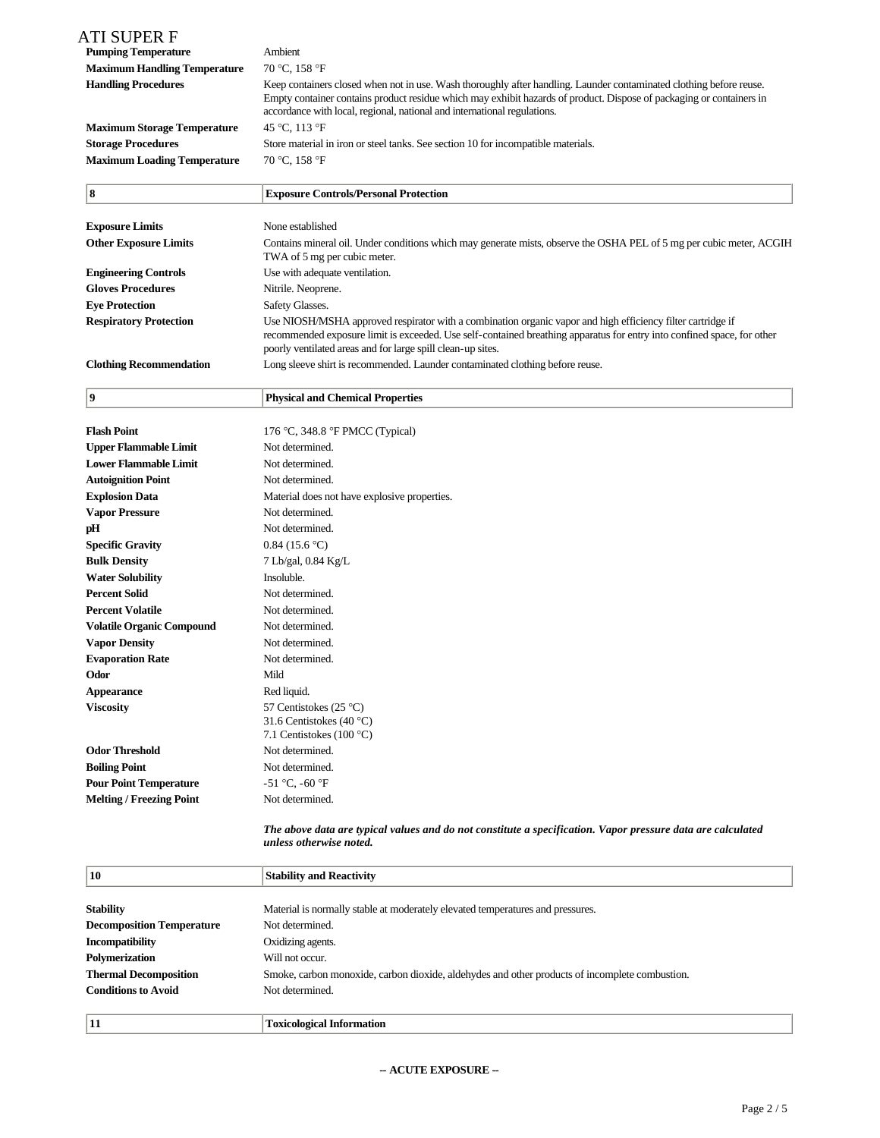| ATI SUPER F<br><b>Pumping Temperature</b><br><b>Maximum Handling Temperature</b> | Ambient<br>70 °C, 158 °F                                                                                                                                                                         |
|----------------------------------------------------------------------------------|--------------------------------------------------------------------------------------------------------------------------------------------------------------------------------------------------|
| <b>Handling Procedures</b>                                                       | Keep containers closed when not in use. Wash thoroughly after handling. Launder contaminated clothing before reuse.                                                                              |
|                                                                                  | Empty container contains product residue which may exhibit hazards of product. Dispose of packaging or containers in<br>accordance with local, regional, national and international regulations. |
| <b>Maximum Storage Temperature</b>                                               | 45 °C, 113 °F                                                                                                                                                                                    |
| <b>Storage Procedures</b>                                                        | Store material in iron or steel tanks. See section 10 for incompatible materials.                                                                                                                |
| <b>Maximum Loading Temperature</b>                                               | 70 °C, 158 °F                                                                                                                                                                                    |
|                                                                                  |                                                                                                                                                                                                  |

| 8                              | <b>Exposure Controls/Personal Protection</b>                                                                                                                                                                                                                                                          |
|--------------------------------|-------------------------------------------------------------------------------------------------------------------------------------------------------------------------------------------------------------------------------------------------------------------------------------------------------|
|                                |                                                                                                                                                                                                                                                                                                       |
| <b>Exposure Limits</b>         | None established                                                                                                                                                                                                                                                                                      |
| <b>Other Exposure Limits</b>   | Contains mineral oil. Under conditions which may generate mists, observe the OSHA PEL of 5 mg per cubic meter, ACGIH<br>TWA of 5 mg per cubic meter.                                                                                                                                                  |
| <b>Engineering Controls</b>    | Use with adequate ventilation.                                                                                                                                                                                                                                                                        |
| <b>Gloves Procedures</b>       | Nitrile. Neoprene.                                                                                                                                                                                                                                                                                    |
| <b>Eve Protection</b>          | Safety Glasses.                                                                                                                                                                                                                                                                                       |
| <b>Respiratory Protection</b>  | Use NIOSH/MSHA approved respirator with a combination organic vapor and high efficiency filter cartridge if<br>recommended exposure limit is exceeded. Use self-contained breathing apparatus for entry into confined space, for other<br>poorly ventilated areas and for large spill clean-up sites. |
| <b>Clothing Recommendation</b> | Long sleeve shirt is recommended. Launder contaminated clothing before reuse.                                                                                                                                                                                                                         |

**9 Physical and Chemical Properties**

| <b>Flash Point</b>               | 176 °C, 348.8 °F PMCC (Typical)                                                |
|----------------------------------|--------------------------------------------------------------------------------|
| <b>Upper Flammable Limit</b>     | Not determined.                                                                |
| <b>Lower Flammable Limit</b>     | Not determined.                                                                |
| <b>Autoignition Point</b>        | Not determined.                                                                |
| <b>Explosion Data</b>            | Material does not have explosive properties.                                   |
| <b>Vapor Pressure</b>            | Not determined.                                                                |
| pH                               | Not determined.                                                                |
| <b>Specific Gravity</b>          | 0.84(15.6 °C)                                                                  |
| <b>Bulk Density</b>              | 7 Lb/gal, 0.84 Kg/L                                                            |
| <b>Water Solubility</b>          | Insoluble.                                                                     |
| <b>Percent Solid</b>             | Not determined.                                                                |
| <b>Percent Volatile</b>          | Not determined.                                                                |
| <b>Volatile Organic Compound</b> | Not determined.                                                                |
| <b>Vapor Density</b>             | Not determined.                                                                |
| <b>Evaporation Rate</b>          | Not determined.                                                                |
| Odor                             | Mild                                                                           |
| <b>Appearance</b>                | Red liquid.                                                                    |
| <b>Viscosity</b>                 | 57 Centistokes (25 °C)<br>31.6 Centistokes (40 °C)<br>7.1 Centistokes (100 °C) |
| <b>Odor Threshold</b>            | Not determined.                                                                |
| <b>Boiling Point</b>             | Not determined.                                                                |
| <b>Pour Point Temperature</b>    | $-51 °C$ , $-60 °F$                                                            |
| <b>Melting / Freezing Point</b>  | Not determined.                                                                |
|                                  |                                                                                |

*The above data are typical values and do not constitute a specification. Vapor pressure data are calculated unless otherwise noted.*

| 10                               | <b>Stability and Reactivity</b>                                                                |
|----------------------------------|------------------------------------------------------------------------------------------------|
|                                  |                                                                                                |
| <b>Stability</b>                 | Material is normally stable at moderately elevated temperatures and pressures.                 |
| <b>Decomposition Temperature</b> | Not determined.                                                                                |
| <b>Incompatibility</b>           | Oxidizing agents.                                                                              |
| Polymerization                   | Will not occur.                                                                                |
| <b>Thermal Decomposition</b>     | Smoke, carbon monoxide, carbon dioxide, aldehydes and other products of incomplete combustion. |
| <b>Conditions to Avoid</b>       | Not determined.                                                                                |
|                                  |                                                                                                |
| 11                               | <b>Toxicological Information</b>                                                               |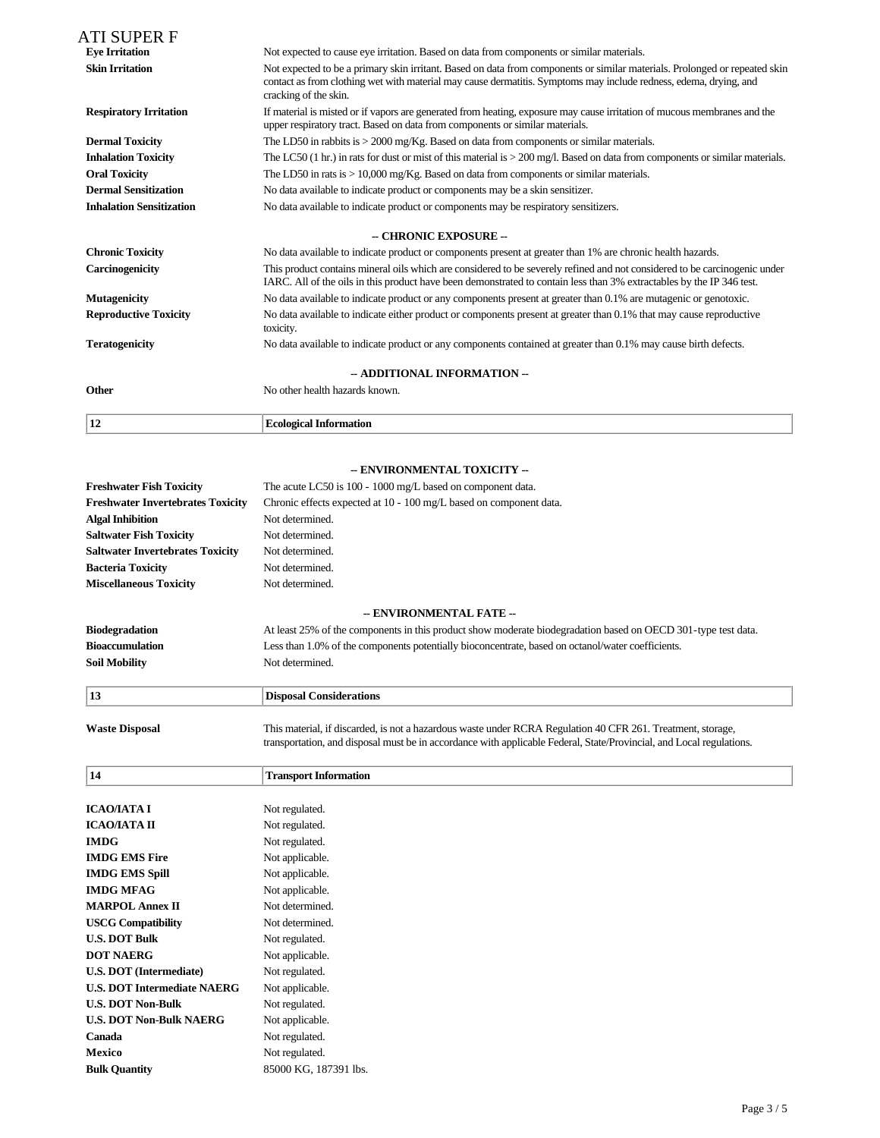| ATI SUPER F                     |                                                                                                                                                                                                                                                                          |  |
|---------------------------------|--------------------------------------------------------------------------------------------------------------------------------------------------------------------------------------------------------------------------------------------------------------------------|--|
| <b>Eye Irritation</b>           | Not expected to cause eye irritation. Based on data from components or similar materials.                                                                                                                                                                                |  |
| <b>Skin Irritation</b>          | Not expected to be a primary skin irritant. Based on data from components or similar materials. Prolonged or repeated skin<br>contact as from clothing wet with material may cause dermatitis. Symptoms may include redness, edema, drying, and<br>cracking of the skin. |  |
| <b>Respiratory Irritation</b>   | If material is misted or if vapors are generated from heating, exposure may cause irritation of mucous membranes and the<br>upper respiratory tract. Based on data from components or similar materials.                                                                 |  |
| <b>Dermal Toxicity</b>          | The LD50 in rabbits is $>$ 2000 mg/Kg. Based on data from components or similar materials.                                                                                                                                                                               |  |
| <b>Inhalation Toxicity</b>      | The LC50 $(1 \text{ hr.})$ in rats for dust or mist of this material is $> 200 \text{ mg/l}$ . Based on data from components or similar materials.                                                                                                                       |  |
| <b>Oral Toxicity</b>            | The LD50 in rats is $> 10,000$ mg/Kg. Based on data from components or similar materials.                                                                                                                                                                                |  |
| <b>Dermal Sensitization</b>     | No data available to indicate product or components may be a skin sensitizer.                                                                                                                                                                                            |  |
| <b>Inhalation Sensitization</b> | No data available to indicate product or components may be respiratory sensitizers.                                                                                                                                                                                      |  |
|                                 | - CHRONIC EXPOSURE --                                                                                                                                                                                                                                                    |  |
| <b>Chronic Toxicity</b>         | No data available to indicate product or components present at greater than 1% are chronic health hazards.                                                                                                                                                               |  |
| Carcinogenicity                 | This product contains mineral oils which are considered to be severely refined and not considered to be carcinogenic under<br>IARC. All of the oils in this product have been demonstrated to contain less than 3% extractables by the IP 346 test.                      |  |
| <b>Mutagenicity</b>             | No data available to indicate product or any components present at greater than 0.1% are mutagenic or genotoxic.                                                                                                                                                         |  |
| <b>Reproductive Toxicity</b>    | No data available to indicate either product or components present at greater than 0.1% that may cause reproductive<br>toxicity.                                                                                                                                         |  |
| <b>Teratogenicity</b>           | No data available to indicate product or any components contained at greater than 0.1% may cause birth defects.                                                                                                                                                          |  |
|                                 | -- ADDITIONAL INFORMATION --                                                                                                                                                                                                                                             |  |
| Other                           | No other health hazards known.                                                                                                                                                                                                                                           |  |
| 12                              | <b>Ecological Information</b>                                                                                                                                                                                                                                            |  |

## **-- ENVIRONMENTAL TOXICITY --**

| <b>Freshwater Fish Toxicity</b>          | The acute LC50 is 100 - 1000 mg/L based on component data.         |
|------------------------------------------|--------------------------------------------------------------------|
| <b>Freshwater Invertebrates Toxicity</b> | Chronic effects expected at 10 - 100 mg/L based on component data. |
| <b>Algal Inhibition</b>                  | Not determined.                                                    |
| <b>Saltwater Fish Toxicity</b>           | Not determined.                                                    |
| <b>Saltwater Invertebrates Toxicity</b>  | Not determined.                                                    |
| <b>Bacteria Toxicity</b>                 | Not determined.                                                    |
| <b>Miscellaneous Toxicity</b>            | Not determined.                                                    |
|                                          |                                                                    |

# **-- ENVIRONMENTAL FATE --**

| Biodegradation  | At least 25% of the components in this product show moderate biodegradation based on OECD 301-type test data. |
|-----------------|---------------------------------------------------------------------------------------------------------------|
| Bioaccumulation | Less than 1.0% of the components potentially bioconcentrate, based on octanol/water coefficients.             |
| Soil Mobility   | Not determined.                                                                                               |

| 13                    | Disposal Considerations                                                                                                                                                                                                             |
|-----------------------|-------------------------------------------------------------------------------------------------------------------------------------------------------------------------------------------------------------------------------------|
| <b>Waste Disposal</b> | This material, if discarded, is not a hazardous waste under RCRA Regulation 40 CFR 261. Treatment, storage,<br>transportation, and disposal must be in accordance with applicable Federal, State/Provincial, and Local regulations. |

| 14                                 | <b>Transport Information</b> |
|------------------------------------|------------------------------|
|                                    |                              |
| <b>ICAO/IATA I</b>                 | Not regulated.               |
| ІСАОЛАТА ІІ                        | Not regulated.               |
| <b>IMDG</b>                        | Not regulated.               |
| <b>IMDG EMS Fire</b>               | Not applicable.              |
| <b>IMDG EMS Spill</b>              | Not applicable.              |
| <b>IMDG MFAG</b>                   | Not applicable.              |
| <b>MARPOL Annex II</b>             | Not determined.              |
| <b>USCG Compatibility</b>          | Not determined.              |
| <b>U.S. DOT Bulk</b>               | Not regulated.               |
| <b>DOT NAERG</b>                   | Not applicable.              |
| <b>U.S. DOT</b> (Intermediate)     | Not regulated.               |
| <b>U.S. DOT Intermediate NAERG</b> | Not applicable.              |
| <b>U.S. DOT Non-Bulk</b>           | Not regulated.               |
| <b>U.S. DOT Non-Bulk NAERG</b>     | Not applicable.              |
| Canada                             | Not regulated.               |
| Mexico                             | Not regulated.               |
| <b>Bulk Quantity</b>               | 85000 KG, 187391 lbs.        |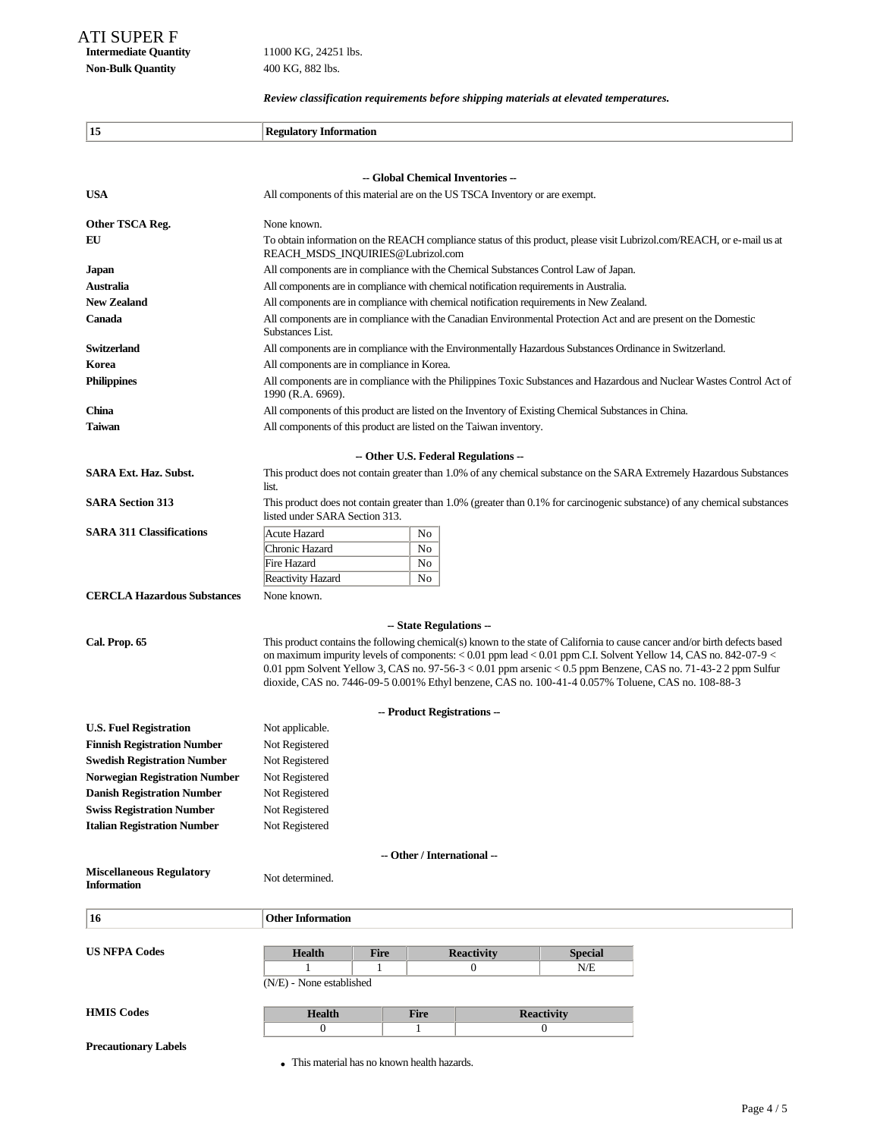**Intermediate Quantity** 11000 KG, 24251 lbs. **Non-Bulk Quantity** 400 KG, 882 lbs.

*Review classification requirements before shipping materials at elevated temperatures.*

| -- Global Chemical Inventories --<br>All components of this material are on the US TSCA Inventory or are exempt.<br>Other TSCA Reg.<br>None known.<br>To obtain information on the REACH compliance status of this product, please visit Lubrizol.com/REACH, or e-mail us at<br>EU<br>REACH_MSDS_INQUIRIES@Lubrizol.com<br>All components are in compliance with the Chemical Substances Control Law of Japan.<br>Australia<br>All components are in compliance with chemical notification requirements in Australia.<br><b>New Zealand</b><br>All components are in compliance with chemical notification requirements in New Zealand.<br>Canada<br>All components are in compliance with the Canadian Environmental Protection Act and are present on the Domestic<br>Substances List.<br><b>Switzerland</b><br>All components are in compliance with the Environmentally Hazardous Substances Ordinance in Switzerland.<br>All components are in compliance in Korea.<br>Korea<br><b>Philippines</b><br>All components are in compliance with the Philippines Toxic Substances and Hazardous and Nuclear Wastes Control Act of<br>1990 (R.A. 6969).<br>China<br>All components of this product are listed on the Inventory of Existing Chemical Substances in China.<br>Taiwan<br>All components of this product are listed on the Taiwan inventory.<br>- Other U.S. Federal Regulations --<br>This product does not contain greater than 1.0% of any chemical substance on the SARA Extremely Hazardous Substances<br>list.<br>This product does not contain greater than 1.0% (greater than 0.1% for carcinogenic substance) of any chemical substances<br>listed under SARA Section 313.<br><b>Acute Hazard</b><br>No<br>Chronic Hazard<br>No<br>No<br>Fire Hazard<br>No<br>Reactivity Hazard<br><b>CERCLA Hazardous Substances</b><br>None known.<br>-- State Regulations --<br>This product contains the following chemical(s) known to the state of California to cause cancer and/or birth defects based<br>on maximum impurity levels of components: $< 0.01$ ppm lead $< 0.01$ ppm C.I. Solvent Yellow 14, CAS no. 842-07-9 $<$<br>0.01 ppm Solvent Yellow 3, CAS no. $97-56-3 < 0.01$ ppm arsenic $< 0.5$ ppm Benzene, CAS no. 71-43-2 2 ppm Sulfur<br>dioxide, CAS no. 7446-09-5 0.001% Ethyl benzene, CAS no. 100-41-4 0.057% Toluene, CAS no. 108-88-3<br>-- Product Registrations --<br>Not applicable.<br>Not Registered<br><b>Swedish Registration Number</b><br>Not Registered<br><b>Norwegian Registration Number</b><br>Not Registered<br><b>Danish Registration Number</b><br>Not Registered<br>Not Registered<br><b>Swiss Registration Number</b><br>Not Registered<br><b>Italian Registration Number</b><br>-- Other / International --<br>Not determined.<br><b>Information</b><br>16<br><b>Other Information</b><br><b>US NFPA Codes</b><br><b>Fire</b><br><b>Reactivity</b><br><b>Special</b><br><b>Health</b><br>N/E<br>1<br>$\overline{0}$<br>1<br>(N/E) - None established<br><b>Health</b><br><b>Fire</b><br><b>Reactivity</b><br>$\boldsymbol{0}$<br>0<br>1<br><b>Precautionary Labels</b><br>• This material has no known health hazards. | 15                                 | <b>Regulatory Information</b> |  |  |  |  |  |
|-----------------------------------------------------------------------------------------------------------------------------------------------------------------------------------------------------------------------------------------------------------------------------------------------------------------------------------------------------------------------------------------------------------------------------------------------------------------------------------------------------------------------------------------------------------------------------------------------------------------------------------------------------------------------------------------------------------------------------------------------------------------------------------------------------------------------------------------------------------------------------------------------------------------------------------------------------------------------------------------------------------------------------------------------------------------------------------------------------------------------------------------------------------------------------------------------------------------------------------------------------------------------------------------------------------------------------------------------------------------------------------------------------------------------------------------------------------------------------------------------------------------------------------------------------------------------------------------------------------------------------------------------------------------------------------------------------------------------------------------------------------------------------------------------------------------------------------------------------------------------------------------------------------------------------------------------------------------------------------------------------------------------------------------------------------------------------------------------------------------------------------------------------------------------------------------------------------------------------------------------------------------------------------------------------------------------------------------------------------------------------------------------------------------------------------------------------------------------------------------------------------------------------------------------------------------------------------------------------------------------------------------------------------------------------------------------------------------------------------------------------------------------------------------------------------------------------------------------------------------------------------------------------------------------------------------------------------------------------------------------------------------------------------------------------------------------------------------------------------------------------------------------------------------------------|------------------------------------|-------------------------------|--|--|--|--|--|
|                                                                                                                                                                                                                                                                                                                                                                                                                                                                                                                                                                                                                                                                                                                                                                                                                                                                                                                                                                                                                                                                                                                                                                                                                                                                                                                                                                                                                                                                                                                                                                                                                                                                                                                                                                                                                                                                                                                                                                                                                                                                                                                                                                                                                                                                                                                                                                                                                                                                                                                                                                                                                                                                                                                                                                                                                                                                                                                                                                                                                                                                                                                                                                             |                                    |                               |  |  |  |  |  |
|                                                                                                                                                                                                                                                                                                                                                                                                                                                                                                                                                                                                                                                                                                                                                                                                                                                                                                                                                                                                                                                                                                                                                                                                                                                                                                                                                                                                                                                                                                                                                                                                                                                                                                                                                                                                                                                                                                                                                                                                                                                                                                                                                                                                                                                                                                                                                                                                                                                                                                                                                                                                                                                                                                                                                                                                                                                                                                                                                                                                                                                                                                                                                                             |                                    |                               |  |  |  |  |  |
|                                                                                                                                                                                                                                                                                                                                                                                                                                                                                                                                                                                                                                                                                                                                                                                                                                                                                                                                                                                                                                                                                                                                                                                                                                                                                                                                                                                                                                                                                                                                                                                                                                                                                                                                                                                                                                                                                                                                                                                                                                                                                                                                                                                                                                                                                                                                                                                                                                                                                                                                                                                                                                                                                                                                                                                                                                                                                                                                                                                                                                                                                                                                                                             | <b>USA</b>                         |                               |  |  |  |  |  |
|                                                                                                                                                                                                                                                                                                                                                                                                                                                                                                                                                                                                                                                                                                                                                                                                                                                                                                                                                                                                                                                                                                                                                                                                                                                                                                                                                                                                                                                                                                                                                                                                                                                                                                                                                                                                                                                                                                                                                                                                                                                                                                                                                                                                                                                                                                                                                                                                                                                                                                                                                                                                                                                                                                                                                                                                                                                                                                                                                                                                                                                                                                                                                                             |                                    |                               |  |  |  |  |  |
|                                                                                                                                                                                                                                                                                                                                                                                                                                                                                                                                                                                                                                                                                                                                                                                                                                                                                                                                                                                                                                                                                                                                                                                                                                                                                                                                                                                                                                                                                                                                                                                                                                                                                                                                                                                                                                                                                                                                                                                                                                                                                                                                                                                                                                                                                                                                                                                                                                                                                                                                                                                                                                                                                                                                                                                                                                                                                                                                                                                                                                                                                                                                                                             |                                    |                               |  |  |  |  |  |
|                                                                                                                                                                                                                                                                                                                                                                                                                                                                                                                                                                                                                                                                                                                                                                                                                                                                                                                                                                                                                                                                                                                                                                                                                                                                                                                                                                                                                                                                                                                                                                                                                                                                                                                                                                                                                                                                                                                                                                                                                                                                                                                                                                                                                                                                                                                                                                                                                                                                                                                                                                                                                                                                                                                                                                                                                                                                                                                                                                                                                                                                                                                                                                             |                                    |                               |  |  |  |  |  |
|                                                                                                                                                                                                                                                                                                                                                                                                                                                                                                                                                                                                                                                                                                                                                                                                                                                                                                                                                                                                                                                                                                                                                                                                                                                                                                                                                                                                                                                                                                                                                                                                                                                                                                                                                                                                                                                                                                                                                                                                                                                                                                                                                                                                                                                                                                                                                                                                                                                                                                                                                                                                                                                                                                                                                                                                                                                                                                                                                                                                                                                                                                                                                                             | Japan                              |                               |  |  |  |  |  |
|                                                                                                                                                                                                                                                                                                                                                                                                                                                                                                                                                                                                                                                                                                                                                                                                                                                                                                                                                                                                                                                                                                                                                                                                                                                                                                                                                                                                                                                                                                                                                                                                                                                                                                                                                                                                                                                                                                                                                                                                                                                                                                                                                                                                                                                                                                                                                                                                                                                                                                                                                                                                                                                                                                                                                                                                                                                                                                                                                                                                                                                                                                                                                                             |                                    |                               |  |  |  |  |  |
|                                                                                                                                                                                                                                                                                                                                                                                                                                                                                                                                                                                                                                                                                                                                                                                                                                                                                                                                                                                                                                                                                                                                                                                                                                                                                                                                                                                                                                                                                                                                                                                                                                                                                                                                                                                                                                                                                                                                                                                                                                                                                                                                                                                                                                                                                                                                                                                                                                                                                                                                                                                                                                                                                                                                                                                                                                                                                                                                                                                                                                                                                                                                                                             |                                    |                               |  |  |  |  |  |
|                                                                                                                                                                                                                                                                                                                                                                                                                                                                                                                                                                                                                                                                                                                                                                                                                                                                                                                                                                                                                                                                                                                                                                                                                                                                                                                                                                                                                                                                                                                                                                                                                                                                                                                                                                                                                                                                                                                                                                                                                                                                                                                                                                                                                                                                                                                                                                                                                                                                                                                                                                                                                                                                                                                                                                                                                                                                                                                                                                                                                                                                                                                                                                             |                                    |                               |  |  |  |  |  |
|                                                                                                                                                                                                                                                                                                                                                                                                                                                                                                                                                                                                                                                                                                                                                                                                                                                                                                                                                                                                                                                                                                                                                                                                                                                                                                                                                                                                                                                                                                                                                                                                                                                                                                                                                                                                                                                                                                                                                                                                                                                                                                                                                                                                                                                                                                                                                                                                                                                                                                                                                                                                                                                                                                                                                                                                                                                                                                                                                                                                                                                                                                                                                                             |                                    |                               |  |  |  |  |  |
|                                                                                                                                                                                                                                                                                                                                                                                                                                                                                                                                                                                                                                                                                                                                                                                                                                                                                                                                                                                                                                                                                                                                                                                                                                                                                                                                                                                                                                                                                                                                                                                                                                                                                                                                                                                                                                                                                                                                                                                                                                                                                                                                                                                                                                                                                                                                                                                                                                                                                                                                                                                                                                                                                                                                                                                                                                                                                                                                                                                                                                                                                                                                                                             |                                    |                               |  |  |  |  |  |
|                                                                                                                                                                                                                                                                                                                                                                                                                                                                                                                                                                                                                                                                                                                                                                                                                                                                                                                                                                                                                                                                                                                                                                                                                                                                                                                                                                                                                                                                                                                                                                                                                                                                                                                                                                                                                                                                                                                                                                                                                                                                                                                                                                                                                                                                                                                                                                                                                                                                                                                                                                                                                                                                                                                                                                                                                                                                                                                                                                                                                                                                                                                                                                             |                                    |                               |  |  |  |  |  |
|                                                                                                                                                                                                                                                                                                                                                                                                                                                                                                                                                                                                                                                                                                                                                                                                                                                                                                                                                                                                                                                                                                                                                                                                                                                                                                                                                                                                                                                                                                                                                                                                                                                                                                                                                                                                                                                                                                                                                                                                                                                                                                                                                                                                                                                                                                                                                                                                                                                                                                                                                                                                                                                                                                                                                                                                                                                                                                                                                                                                                                                                                                                                                                             |                                    |                               |  |  |  |  |  |
|                                                                                                                                                                                                                                                                                                                                                                                                                                                                                                                                                                                                                                                                                                                                                                                                                                                                                                                                                                                                                                                                                                                                                                                                                                                                                                                                                                                                                                                                                                                                                                                                                                                                                                                                                                                                                                                                                                                                                                                                                                                                                                                                                                                                                                                                                                                                                                                                                                                                                                                                                                                                                                                                                                                                                                                                                                                                                                                                                                                                                                                                                                                                                                             |                                    |                               |  |  |  |  |  |
|                                                                                                                                                                                                                                                                                                                                                                                                                                                                                                                                                                                                                                                                                                                                                                                                                                                                                                                                                                                                                                                                                                                                                                                                                                                                                                                                                                                                                                                                                                                                                                                                                                                                                                                                                                                                                                                                                                                                                                                                                                                                                                                                                                                                                                                                                                                                                                                                                                                                                                                                                                                                                                                                                                                                                                                                                                                                                                                                                                                                                                                                                                                                                                             |                                    |                               |  |  |  |  |  |
|                                                                                                                                                                                                                                                                                                                                                                                                                                                                                                                                                                                                                                                                                                                                                                                                                                                                                                                                                                                                                                                                                                                                                                                                                                                                                                                                                                                                                                                                                                                                                                                                                                                                                                                                                                                                                                                                                                                                                                                                                                                                                                                                                                                                                                                                                                                                                                                                                                                                                                                                                                                                                                                                                                                                                                                                                                                                                                                                                                                                                                                                                                                                                                             | <b>SARA Ext. Haz. Subst.</b>       |                               |  |  |  |  |  |
|                                                                                                                                                                                                                                                                                                                                                                                                                                                                                                                                                                                                                                                                                                                                                                                                                                                                                                                                                                                                                                                                                                                                                                                                                                                                                                                                                                                                                                                                                                                                                                                                                                                                                                                                                                                                                                                                                                                                                                                                                                                                                                                                                                                                                                                                                                                                                                                                                                                                                                                                                                                                                                                                                                                                                                                                                                                                                                                                                                                                                                                                                                                                                                             | <b>SARA Section 313</b>            |                               |  |  |  |  |  |
|                                                                                                                                                                                                                                                                                                                                                                                                                                                                                                                                                                                                                                                                                                                                                                                                                                                                                                                                                                                                                                                                                                                                                                                                                                                                                                                                                                                                                                                                                                                                                                                                                                                                                                                                                                                                                                                                                                                                                                                                                                                                                                                                                                                                                                                                                                                                                                                                                                                                                                                                                                                                                                                                                                                                                                                                                                                                                                                                                                                                                                                                                                                                                                             | <b>SARA 311 Classifications</b>    |                               |  |  |  |  |  |
|                                                                                                                                                                                                                                                                                                                                                                                                                                                                                                                                                                                                                                                                                                                                                                                                                                                                                                                                                                                                                                                                                                                                                                                                                                                                                                                                                                                                                                                                                                                                                                                                                                                                                                                                                                                                                                                                                                                                                                                                                                                                                                                                                                                                                                                                                                                                                                                                                                                                                                                                                                                                                                                                                                                                                                                                                                                                                                                                                                                                                                                                                                                                                                             |                                    |                               |  |  |  |  |  |
|                                                                                                                                                                                                                                                                                                                                                                                                                                                                                                                                                                                                                                                                                                                                                                                                                                                                                                                                                                                                                                                                                                                                                                                                                                                                                                                                                                                                                                                                                                                                                                                                                                                                                                                                                                                                                                                                                                                                                                                                                                                                                                                                                                                                                                                                                                                                                                                                                                                                                                                                                                                                                                                                                                                                                                                                                                                                                                                                                                                                                                                                                                                                                                             |                                    |                               |  |  |  |  |  |
|                                                                                                                                                                                                                                                                                                                                                                                                                                                                                                                                                                                                                                                                                                                                                                                                                                                                                                                                                                                                                                                                                                                                                                                                                                                                                                                                                                                                                                                                                                                                                                                                                                                                                                                                                                                                                                                                                                                                                                                                                                                                                                                                                                                                                                                                                                                                                                                                                                                                                                                                                                                                                                                                                                                                                                                                                                                                                                                                                                                                                                                                                                                                                                             |                                    |                               |  |  |  |  |  |
|                                                                                                                                                                                                                                                                                                                                                                                                                                                                                                                                                                                                                                                                                                                                                                                                                                                                                                                                                                                                                                                                                                                                                                                                                                                                                                                                                                                                                                                                                                                                                                                                                                                                                                                                                                                                                                                                                                                                                                                                                                                                                                                                                                                                                                                                                                                                                                                                                                                                                                                                                                                                                                                                                                                                                                                                                                                                                                                                                                                                                                                                                                                                                                             |                                    |                               |  |  |  |  |  |
|                                                                                                                                                                                                                                                                                                                                                                                                                                                                                                                                                                                                                                                                                                                                                                                                                                                                                                                                                                                                                                                                                                                                                                                                                                                                                                                                                                                                                                                                                                                                                                                                                                                                                                                                                                                                                                                                                                                                                                                                                                                                                                                                                                                                                                                                                                                                                                                                                                                                                                                                                                                                                                                                                                                                                                                                                                                                                                                                                                                                                                                                                                                                                                             |                                    |                               |  |  |  |  |  |
|                                                                                                                                                                                                                                                                                                                                                                                                                                                                                                                                                                                                                                                                                                                                                                                                                                                                                                                                                                                                                                                                                                                                                                                                                                                                                                                                                                                                                                                                                                                                                                                                                                                                                                                                                                                                                                                                                                                                                                                                                                                                                                                                                                                                                                                                                                                                                                                                                                                                                                                                                                                                                                                                                                                                                                                                                                                                                                                                                                                                                                                                                                                                                                             | Cal. Prop. 65                      |                               |  |  |  |  |  |
|                                                                                                                                                                                                                                                                                                                                                                                                                                                                                                                                                                                                                                                                                                                                                                                                                                                                                                                                                                                                                                                                                                                                                                                                                                                                                                                                                                                                                                                                                                                                                                                                                                                                                                                                                                                                                                                                                                                                                                                                                                                                                                                                                                                                                                                                                                                                                                                                                                                                                                                                                                                                                                                                                                                                                                                                                                                                                                                                                                                                                                                                                                                                                                             |                                    |                               |  |  |  |  |  |
|                                                                                                                                                                                                                                                                                                                                                                                                                                                                                                                                                                                                                                                                                                                                                                                                                                                                                                                                                                                                                                                                                                                                                                                                                                                                                                                                                                                                                                                                                                                                                                                                                                                                                                                                                                                                                                                                                                                                                                                                                                                                                                                                                                                                                                                                                                                                                                                                                                                                                                                                                                                                                                                                                                                                                                                                                                                                                                                                                                                                                                                                                                                                                                             | <b>U.S. Fuel Registration</b>      |                               |  |  |  |  |  |
|                                                                                                                                                                                                                                                                                                                                                                                                                                                                                                                                                                                                                                                                                                                                                                                                                                                                                                                                                                                                                                                                                                                                                                                                                                                                                                                                                                                                                                                                                                                                                                                                                                                                                                                                                                                                                                                                                                                                                                                                                                                                                                                                                                                                                                                                                                                                                                                                                                                                                                                                                                                                                                                                                                                                                                                                                                                                                                                                                                                                                                                                                                                                                                             | <b>Finnish Registration Number</b> |                               |  |  |  |  |  |
|                                                                                                                                                                                                                                                                                                                                                                                                                                                                                                                                                                                                                                                                                                                                                                                                                                                                                                                                                                                                                                                                                                                                                                                                                                                                                                                                                                                                                                                                                                                                                                                                                                                                                                                                                                                                                                                                                                                                                                                                                                                                                                                                                                                                                                                                                                                                                                                                                                                                                                                                                                                                                                                                                                                                                                                                                                                                                                                                                                                                                                                                                                                                                                             |                                    |                               |  |  |  |  |  |
|                                                                                                                                                                                                                                                                                                                                                                                                                                                                                                                                                                                                                                                                                                                                                                                                                                                                                                                                                                                                                                                                                                                                                                                                                                                                                                                                                                                                                                                                                                                                                                                                                                                                                                                                                                                                                                                                                                                                                                                                                                                                                                                                                                                                                                                                                                                                                                                                                                                                                                                                                                                                                                                                                                                                                                                                                                                                                                                                                                                                                                                                                                                                                                             |                                    |                               |  |  |  |  |  |
|                                                                                                                                                                                                                                                                                                                                                                                                                                                                                                                                                                                                                                                                                                                                                                                                                                                                                                                                                                                                                                                                                                                                                                                                                                                                                                                                                                                                                                                                                                                                                                                                                                                                                                                                                                                                                                                                                                                                                                                                                                                                                                                                                                                                                                                                                                                                                                                                                                                                                                                                                                                                                                                                                                                                                                                                                                                                                                                                                                                                                                                                                                                                                                             |                                    |                               |  |  |  |  |  |
|                                                                                                                                                                                                                                                                                                                                                                                                                                                                                                                                                                                                                                                                                                                                                                                                                                                                                                                                                                                                                                                                                                                                                                                                                                                                                                                                                                                                                                                                                                                                                                                                                                                                                                                                                                                                                                                                                                                                                                                                                                                                                                                                                                                                                                                                                                                                                                                                                                                                                                                                                                                                                                                                                                                                                                                                                                                                                                                                                                                                                                                                                                                                                                             |                                    |                               |  |  |  |  |  |
|                                                                                                                                                                                                                                                                                                                                                                                                                                                                                                                                                                                                                                                                                                                                                                                                                                                                                                                                                                                                                                                                                                                                                                                                                                                                                                                                                                                                                                                                                                                                                                                                                                                                                                                                                                                                                                                                                                                                                                                                                                                                                                                                                                                                                                                                                                                                                                                                                                                                                                                                                                                                                                                                                                                                                                                                                                                                                                                                                                                                                                                                                                                                                                             |                                    |                               |  |  |  |  |  |
|                                                                                                                                                                                                                                                                                                                                                                                                                                                                                                                                                                                                                                                                                                                                                                                                                                                                                                                                                                                                                                                                                                                                                                                                                                                                                                                                                                                                                                                                                                                                                                                                                                                                                                                                                                                                                                                                                                                                                                                                                                                                                                                                                                                                                                                                                                                                                                                                                                                                                                                                                                                                                                                                                                                                                                                                                                                                                                                                                                                                                                                                                                                                                                             |                                    |                               |  |  |  |  |  |
|                                                                                                                                                                                                                                                                                                                                                                                                                                                                                                                                                                                                                                                                                                                                                                                                                                                                                                                                                                                                                                                                                                                                                                                                                                                                                                                                                                                                                                                                                                                                                                                                                                                                                                                                                                                                                                                                                                                                                                                                                                                                                                                                                                                                                                                                                                                                                                                                                                                                                                                                                                                                                                                                                                                                                                                                                                                                                                                                                                                                                                                                                                                                                                             | <b>Miscellaneous Regulatory</b>    |                               |  |  |  |  |  |
|                                                                                                                                                                                                                                                                                                                                                                                                                                                                                                                                                                                                                                                                                                                                                                                                                                                                                                                                                                                                                                                                                                                                                                                                                                                                                                                                                                                                                                                                                                                                                                                                                                                                                                                                                                                                                                                                                                                                                                                                                                                                                                                                                                                                                                                                                                                                                                                                                                                                                                                                                                                                                                                                                                                                                                                                                                                                                                                                                                                                                                                                                                                                                                             |                                    |                               |  |  |  |  |  |
|                                                                                                                                                                                                                                                                                                                                                                                                                                                                                                                                                                                                                                                                                                                                                                                                                                                                                                                                                                                                                                                                                                                                                                                                                                                                                                                                                                                                                                                                                                                                                                                                                                                                                                                                                                                                                                                                                                                                                                                                                                                                                                                                                                                                                                                                                                                                                                                                                                                                                                                                                                                                                                                                                                                                                                                                                                                                                                                                                                                                                                                                                                                                                                             |                                    |                               |  |  |  |  |  |
|                                                                                                                                                                                                                                                                                                                                                                                                                                                                                                                                                                                                                                                                                                                                                                                                                                                                                                                                                                                                                                                                                                                                                                                                                                                                                                                                                                                                                                                                                                                                                                                                                                                                                                                                                                                                                                                                                                                                                                                                                                                                                                                                                                                                                                                                                                                                                                                                                                                                                                                                                                                                                                                                                                                                                                                                                                                                                                                                                                                                                                                                                                                                                                             |                                    |                               |  |  |  |  |  |
|                                                                                                                                                                                                                                                                                                                                                                                                                                                                                                                                                                                                                                                                                                                                                                                                                                                                                                                                                                                                                                                                                                                                                                                                                                                                                                                                                                                                                                                                                                                                                                                                                                                                                                                                                                                                                                                                                                                                                                                                                                                                                                                                                                                                                                                                                                                                                                                                                                                                                                                                                                                                                                                                                                                                                                                                                                                                                                                                                                                                                                                                                                                                                                             |                                    |                               |  |  |  |  |  |
|                                                                                                                                                                                                                                                                                                                                                                                                                                                                                                                                                                                                                                                                                                                                                                                                                                                                                                                                                                                                                                                                                                                                                                                                                                                                                                                                                                                                                                                                                                                                                                                                                                                                                                                                                                                                                                                                                                                                                                                                                                                                                                                                                                                                                                                                                                                                                                                                                                                                                                                                                                                                                                                                                                                                                                                                                                                                                                                                                                                                                                                                                                                                                                             | <b>HMIS Codes</b>                  |                               |  |  |  |  |  |
|                                                                                                                                                                                                                                                                                                                                                                                                                                                                                                                                                                                                                                                                                                                                                                                                                                                                                                                                                                                                                                                                                                                                                                                                                                                                                                                                                                                                                                                                                                                                                                                                                                                                                                                                                                                                                                                                                                                                                                                                                                                                                                                                                                                                                                                                                                                                                                                                                                                                                                                                                                                                                                                                                                                                                                                                                                                                                                                                                                                                                                                                                                                                                                             |                                    |                               |  |  |  |  |  |
|                                                                                                                                                                                                                                                                                                                                                                                                                                                                                                                                                                                                                                                                                                                                                                                                                                                                                                                                                                                                                                                                                                                                                                                                                                                                                                                                                                                                                                                                                                                                                                                                                                                                                                                                                                                                                                                                                                                                                                                                                                                                                                                                                                                                                                                                                                                                                                                                                                                                                                                                                                                                                                                                                                                                                                                                                                                                                                                                                                                                                                                                                                                                                                             |                                    |                               |  |  |  |  |  |